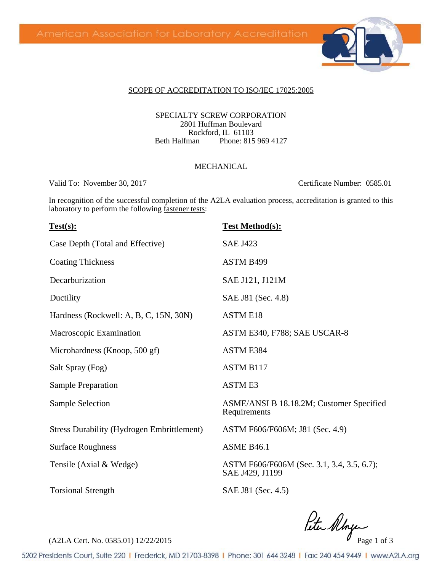

#### SCOPE OF ACCREDITATION TO ISO/IEC 17025:2005

SPECIALTY SCREW CORPORATION 2801 Huffman Boulevard Rockford, IL 61103<br>Beth Halfman Phone: 815 Phone: 815 969 4127

#### MECHANICAL

Valid To: November 30, 2017 Certificate Number: 0585.01

In recognition of the successful completion of the A2LA evaluation process, accreditation is granted to this laboratory to perform the following fastener tests:

| Test(s):                                          | <b>Test Method(s):</b>                                        |  |
|---------------------------------------------------|---------------------------------------------------------------|--|
| Case Depth (Total and Effective)                  | <b>SAE J423</b>                                               |  |
| <b>Coating Thickness</b>                          | ASTM B499                                                     |  |
| Decarburization                                   | SAE J121, J121M                                               |  |
| Ductility                                         | SAE J81 (Sec. 4.8)                                            |  |
| Hardness (Rockwell: A, B, C, 15N, 30N)            | <b>ASTM E18</b>                                               |  |
| Macroscopic Examination                           | ASTM E340, F788; SAE USCAR-8                                  |  |
| Microhardness (Knoop, 500 gf)                     | <b>ASTM E384</b>                                              |  |
| Salt Spray (Fog)                                  | <b>ASTM B117</b>                                              |  |
| <b>Sample Preparation</b>                         | <b>ASTME3</b>                                                 |  |
| <b>Sample Selection</b>                           | ASME/ANSI B 18.18.2M; Customer Specified<br>Requirements      |  |
| <b>Stress Durability (Hydrogen Embrittlement)</b> | ASTM F606/F606M; J81 (Sec. 4.9)                               |  |
| <b>Surface Roughness</b>                          | <b>ASME B46.1</b>                                             |  |
| Tensile (Axial & Wedge)                           | ASTM F606/F606M (Sec. 3.1, 3.4, 3.5, 6.7);<br>SAE J429, J1199 |  |
| <b>Torsional Strength</b>                         | SAE J81 (Sec. 4.5)                                            |  |

 $R$ ta Albyc

5202 Presidents Court, Suite 220 | Frederick, MD 21703-8398 | Phone: 301 644 3248 | Fax: 240 454 9449 | www.A2LA.org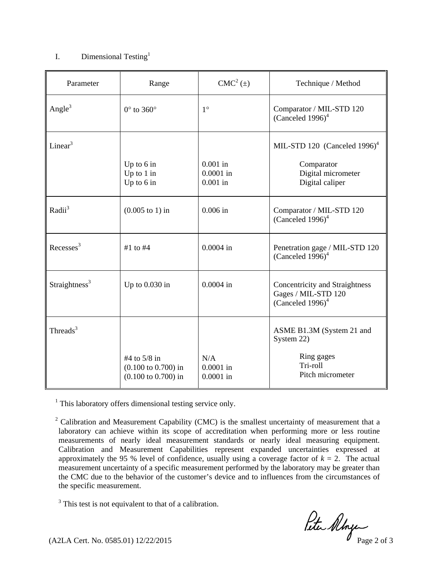#### I. Dimensional Testing<sup>1</sup>

| Parameter                 | Range                                                                            | $CMC2(\pm)$                             | Technique / Method                                                                              |
|---------------------------|----------------------------------------------------------------------------------|-----------------------------------------|-------------------------------------------------------------------------------------------------|
| Angle $3$                 | $0^\circ$ to 360 $^\circ$                                                        | $1^{\circ}$                             | Comparator / MIL-STD 120<br>(Canceled $1996$ ) <sup>4</sup>                                     |
| Linear $3$                | Up to $6$ in<br>Up to $1$ in<br>Up to $6$ in                                     | $0.001$ in<br>$0.0001$ in<br>$0.001$ in | MIL-STD 120 (Canceled 1996) <sup>4</sup><br>Comparator<br>Digital micrometer<br>Digital caliper |
| $Radii^3$                 | $(0.005 \text{ to } 1) \text{ in}$                                               | $0.006$ in                              | Comparator / MIL-STD 120<br>(Canceled $1996$ ) <sup>4</sup>                                     |
| Recesses <sup>3</sup>     | #1 to $#4$                                                                       | $0.0004$ in                             | Penetration gage / MIL-STD 120<br>(Canceled $1996$ ) <sup>4</sup>                               |
| Straightness <sup>3</sup> | Up to $0.030$ in                                                                 | $0.0004$ in                             | Concentricity and Straightness<br>Gages / MIL-STD 120<br>(Canceled $1996$ ) <sup>4</sup>        |
| Threads $3$               | #4 to 5/8 in<br>$(0.100 \text{ to } 0.700)$ in<br>$(0.100 \text{ to } 0.700)$ in | N/A<br>$0.0001$ in<br>$0.0001$ in       | ASME B1.3M (System 21 and<br>System 22)<br>Ring gages<br>Tri-roll<br>Pitch micrometer           |

<sup>1</sup> This laboratory offers dimensional testing service only.

<sup>2</sup> Calibration and Measurement Capability (CMC) is the smallest uncertainty of measurement that a laboratory can achieve within its scope of accreditation when performing more or less routine measurements of nearly ideal measurement standards or nearly ideal measuring equipment. Calibration and Measurement Capabilities represent expanded uncertainties expressed at approximately the 95 % level of confidence, usually using a coverage factor of  $k = 2$ . The actual measurement uncertainty of a specific measurement performed by the laboratory may be greater than the CMC due to the behavior of the customer's device and to influences from the circumstances of the specific measurement.

<sup>3</sup> This test is not equivalent to that of a calibration.

(A2LA Cert. No. 0585.01)  $12/22/2015$ <br>Page 2 of 3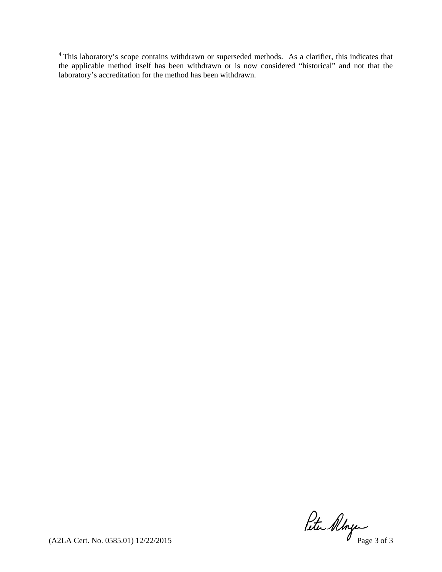<sup>4</sup> This laboratory's scope contains withdrawn or superseded methods. As a clarifier, this indicates that the applicable method itself has been withdrawn or is now considered "historical" and not that the laboratory's accreditation for the method has been withdrawn.

(A2LA Cert. No. 0585.01) 12/22/2015 Page 3 of 3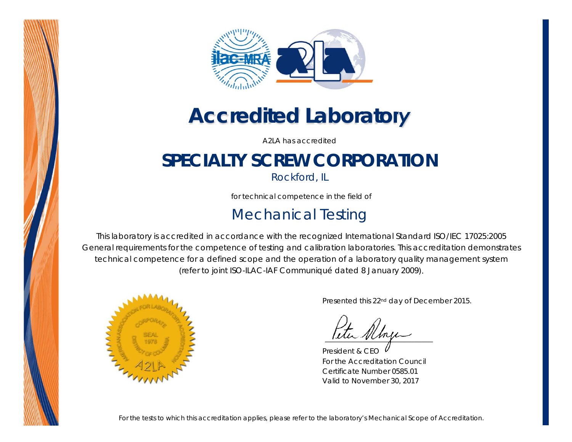



## *Accredited Laboratory*

A2LA has accredited

## **SPECIALTY SCREW CORPORATION**

*Rockford, IL* 

for technical competence in the field of

### Mechanical Testing

This laboratory is accredited in accordance with the recognized International Standard ISO/IEC 17025:2005 *General requirements for the competence of testing and calibration laboratories*. This accreditation demonstrates technical competence for a defined scope and the operation of a laboratory quality management system (*refer to joint ISO-ILAC-IAF Communiqué dated 8 January 2009*).



Presented this 22nd day of December 2015.

eter Albage  *\_\_\_\_\_\_\_\_\_\_\_\_\_\_\_\_\_\_\_\_\_\_\_*

President & CEO For the Accreditation Council Certificate Number 0585.01 Valid to November 30, 2017

*For the tests to which this accreditation applies, please refer to the laboratory's Mechanical Scope of Accreditation.*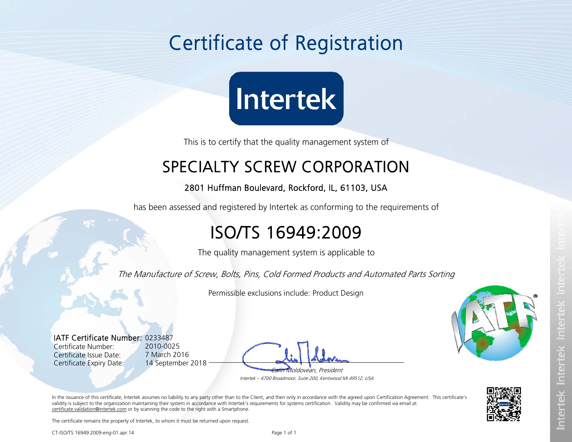# Certificate of Registration



This is to certify that the quality management system of

### SPECIALTY SCREW CORPORATION

#### 2801 Huffman Boulevard, Rockford, IL, 61103, USA

has been assessed and registered by Intertek as conforming to the requirements of

### ISO/TS 16949:2009

The quality management system is applicable to

The Manufacture of Screw, Bolts, Pins, Cold Formed Products and Automated Parts Sorting

Permissible exclusions include: Product Design

IATF Certificate Number:0233487 Certificate Number: Certificate Issue Date: Certificate Expiry Date:

2010-0025 7 March 2016 14 September 2018

'oldovean, President





In the issuance of this certificate, Intertek assumes no liability to any party other than to the Client, and then only in accordance with the agreed upon Certification Agreement. This certificate's validity is subject to the organization maintaining their system in accordance with Intertek's requirements for systems certification. Validity may be confirmed via email at certificate.validation@intertek.com or by scanning the code to the right with a Smartphone.

The certificate remains the property of Intertek, to whom it must be returned upon request.